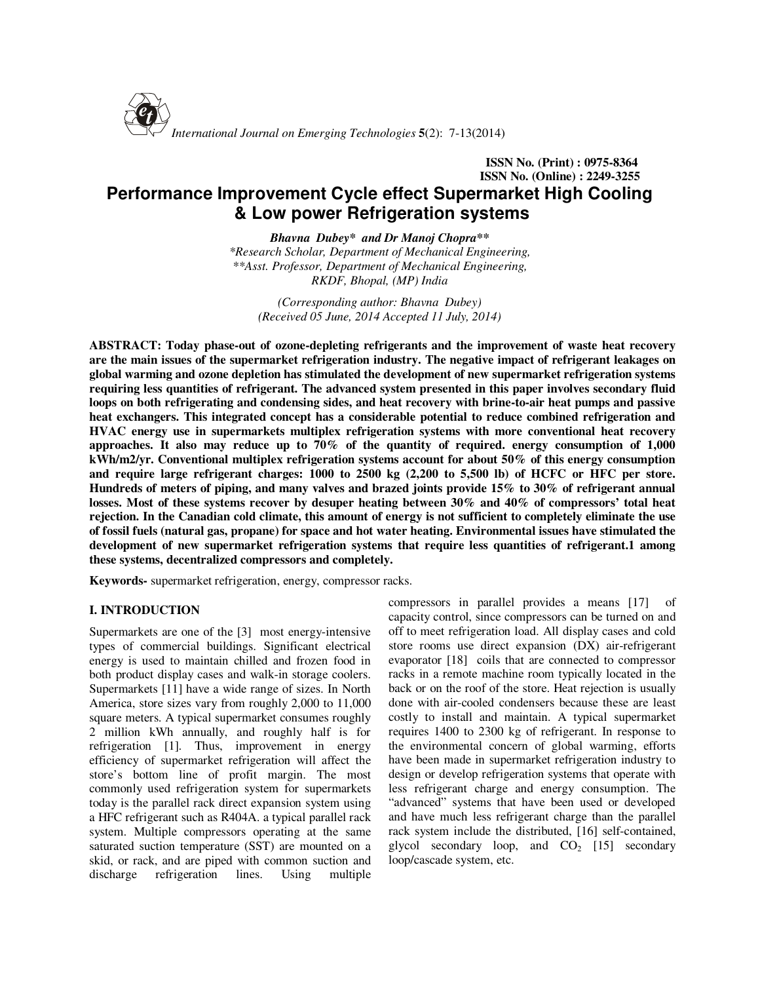

# **ISSN No. (Print) : 0975-8364 ISSN No. (Online) : 2249-3255 Performance Improvement Cycle effect Supermarket High Cooling & Low power Refrigeration systems**

*Bhavna Dubey\* and Dr Manoj Chopra\*\* \*Research Scholar, Department of Mechanical Engineering, \*\*Asst. Professor, Department of Mechanical Engineering, RKDF, Bhopal, (MP) India* 

*(Corresponding author: Bhavna Dubey) (Received 05 June, 2014 Accepted 11 July, 2014)* 

**ABSTRACT: Today phase-out of ozone-depleting refrigerants and the improvement of waste heat recovery are the main issues of the supermarket refrigeration industry. The negative impact of refrigerant leakages on global warming and ozone depletion has stimulated the development of new supermarket refrigeration systems requiring less quantities of refrigerant. The advanced system presented in this paper involves secondary fluid loops on both refrigerating and condensing sides, and heat recovery with brine-to-air heat pumps and passive heat exchangers. This integrated concept has a considerable potential to reduce combined refrigeration and HVAC energy use in supermarkets multiplex refrigeration systems with more conventional heat recovery approaches. It also may reduce up to 70% of the quantity of required. energy consumption of 1,000 kWh/m2/yr. Conventional multiplex refrigeration systems account for about 50% of this energy consumption and require large refrigerant charges: 1000 to 2500 kg (2,200 to 5,500 lb) of HCFC or HFC per store. Hundreds of meters of piping, and many valves and brazed joints provide 15% to 30% of refrigerant annual losses. Most of these systems recover by desuper heating between 30% and 40% of compressors' total heat rejection. In the Canadian cold climate, this amount of energy is not sufficient to completely eliminate the use of fossil fuels (natural gas, propane) for space and hot water heating. Environmental issues have stimulated the development of new supermarket refrigeration systems that require less quantities of refrigerant.1 among these systems, decentralized compressors and completely.** 

**Keywords-** supermarket refrigeration, energy, compressor racks.

## **I. INTRODUCTION**

Supermarkets are one of the [3] most energy-intensive types of commercial buildings. Significant electrical energy is used to maintain chilled and frozen food in both product display cases and walk-in storage coolers. Supermarkets [11] have a wide range of sizes. In North America, store sizes vary from roughly 2,000 to 11,000 square meters. A typical supermarket consumes roughly 2 million kWh annually, and roughly half is for refrigeration [1]. Thus, improvement in energy efficiency of supermarket refrigeration will affect the store's bottom line of profit margin. The most commonly used refrigeration system for supermarkets today is the parallel rack direct expansion system using a HFC refrigerant such as R404A. a typical parallel rack system. Multiple compressors operating at the same saturated suction temperature (SST) are mounted on a skid, or rack, and are piped with common suction and discharge refrigeration lines. Using multiple compressors in parallel provides a means [17] of capacity control, since compressors can be turned on and off to meet refrigeration load. All display cases and cold store rooms use direct expansion (DX) air-refrigerant evaporator [18] coils that are connected to compressor racks in a remote machine room typically located in the back or on the roof of the store. Heat rejection is usually done with air-cooled condensers because these are least costly to install and maintain. A typical supermarket requires 1400 to 2300 kg of refrigerant. In response to the environmental concern of global warming, efforts have been made in supermarket refrigeration industry to design or develop refrigeration systems that operate with less refrigerant charge and energy consumption. The "advanced" systems that have been used or developed and have much less refrigerant charge than the parallel rack system include the distributed, [16] self-contained, glycol secondary loop, and  $CO<sub>2</sub>$  [15] secondary loop/cascade system, etc.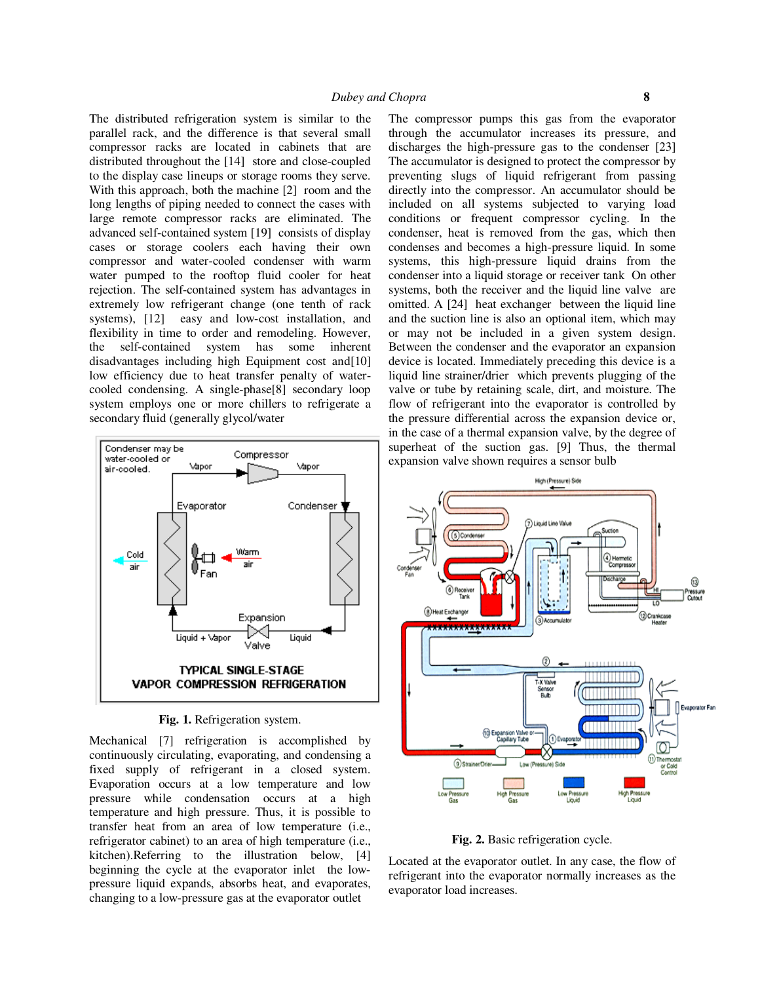The distributed refrigeration system is similar to the parallel rack, and the difference is that several small compressor racks are located in cabinets that are distributed throughout the [14] store and close-coupled to the display case lineups or storage rooms they serve. With this approach, both the machine [2] room and the long lengths of piping needed to connect the cases with large remote compressor racks are eliminated. The advanced self-contained system [19] consists of display cases or storage coolers each having their own compressor and water-cooled condenser with warm water pumped to the rooftop fluid cooler for heat rejection. The self-contained system has advantages in extremely low refrigerant change (one tenth of rack systems), [12] easy and low-cost installation, and flexibility in time to order and remodeling. However, the self-contained system has some inherent disadvantages including high Equipment cost and[10] low efficiency due to heat transfer penalty of watercooled condensing. A single-phase[8] secondary loop system employs one or more chillers to refrigerate a secondary fluid (generally glycol/water



**Fig. 1.** Refrigeration system.

Mechanical [7] refrigeration is accomplished by continuously circulating, evaporating, and condensing a fixed supply of refrigerant in a closed system. Evaporation occurs at a low temperature and low pressure while condensation occurs at a high temperature and high pressure. Thus, it is possible to transfer heat from an area of low temperature (i.e., refrigerator cabinet) to an area of high temperature (i.e., kitchen).Referring to the illustration below, [4] beginning the cycle at the evaporator inlet the lowpressure liquid expands, absorbs heat, and evaporates, changing to a low-pressure gas at the evaporator outlet

The compressor pumps this gas from the evaporator through the accumulator increases its pressure, and discharges the high-pressure gas to the condenser [23] The accumulator is designed to protect the compressor by preventing slugs of liquid refrigerant from passing directly into the compressor. An accumulator should be included on all systems subjected to varying load conditions or frequent compressor cycling. In the condenser, heat is removed from the gas, which then condenses and becomes a high-pressure liquid. In some systems, this high-pressure liquid drains from the condenser into a liquid storage or receiver tank On other systems, both the receiver and the liquid line valve are omitted. A [24] heat exchanger between the liquid line and the suction line is also an optional item, which may or may not be included in a given system design. Between the condenser and the evaporator an expansion device is located. Immediately preceding this device is a liquid line strainer/drier which prevents plugging of the valve or tube by retaining scale, dirt, and moisture. The flow of refrigerant into the evaporator is controlled by the pressure differential across the expansion device or, in the case of a thermal expansion valve, by the degree of superheat of the suction gas. [9] Thus, the thermal expansion valve shown requires a sensor bulb



**Fig. 2.** Basic refrigeration cycle.

Located at the evaporator outlet. In any case, the flow of refrigerant into the evaporator normally increases as the evaporator load increases.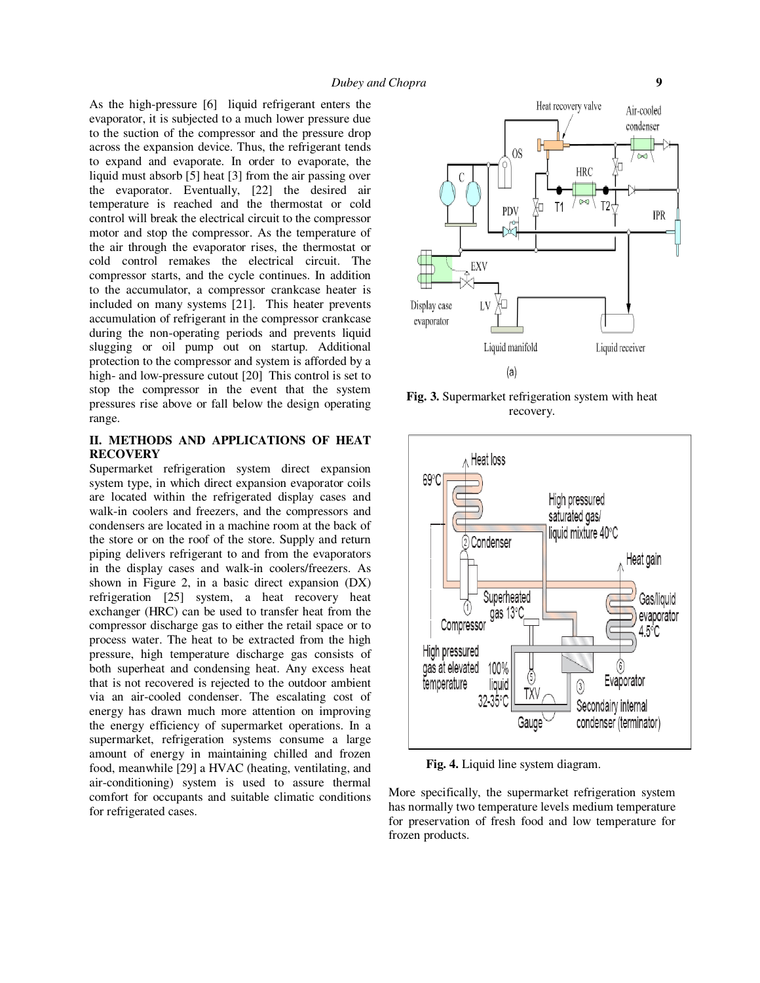As the high-pressure [6] liquid refrigerant enters the evaporator, it is subjected to a much lower pressure due to the suction of the compressor and the pressure drop across the expansion device. Thus, the refrigerant tends to expand and evaporate. In order to evaporate, the liquid must absorb [5] heat [3] from the air passing over the evaporator. Eventually, [22] the desired air temperature is reached and the thermostat or cold control will break the electrical circuit to the compressor motor and stop the compressor. As the temperature of the air through the evaporator rises, the thermostat or cold control remakes the electrical circuit. The compressor starts, and the cycle continues. In addition to the accumulator, a compressor crankcase heater is included on many systems [21]. This heater prevents accumulation of refrigerant in the compressor crankcase during the non-operating periods and prevents liquid slugging or oil pump out on startup. Additional protection to the compressor and system is afforded by a high- and low-pressure cutout [20] This control is set to stop the compressor in the event that the system pressures rise above or fall below the design operating range.

## **II. METHODS AND APPLICATIONS OF HEAT RECOVERY**

Supermarket refrigeration system direct expansion system type, in which direct expansion evaporator coils are located within the refrigerated display cases and walk-in coolers and freezers, and the compressors and condensers are located in a machine room at the back of the store or on the roof of the store. Supply and return piping delivers refrigerant to and from the evaporators in the display cases and walk-in coolers/freezers. As shown in Figure 2, in a basic direct expansion (DX) refrigeration [25] system, a heat recovery heat exchanger (HRC) can be used to transfer heat from the compressor discharge gas to either the retail space or to process water. The heat to be extracted from the high pressure, high temperature discharge gas consists of both superheat and condensing heat. Any excess heat that is not recovered is rejected to the outdoor ambient via an air-cooled condenser. The escalating cost of energy has drawn much more attention on improving the energy efficiency of supermarket operations. In a supermarket, refrigeration systems consume a large amount of energy in maintaining chilled and frozen food, meanwhile [29] a HVAC (heating, ventilating, and air-conditioning) system is used to assure thermal comfort for occupants and suitable climatic conditions for refrigerated cases.



**Fig. 3.** Supermarket refrigeration system with heat recovery.



 **Fig. 4.** Liquid line system diagram.

More specifically, the supermarket refrigeration system has normally two temperature levels medium temperature for preservation of fresh food and low temperature for frozen products.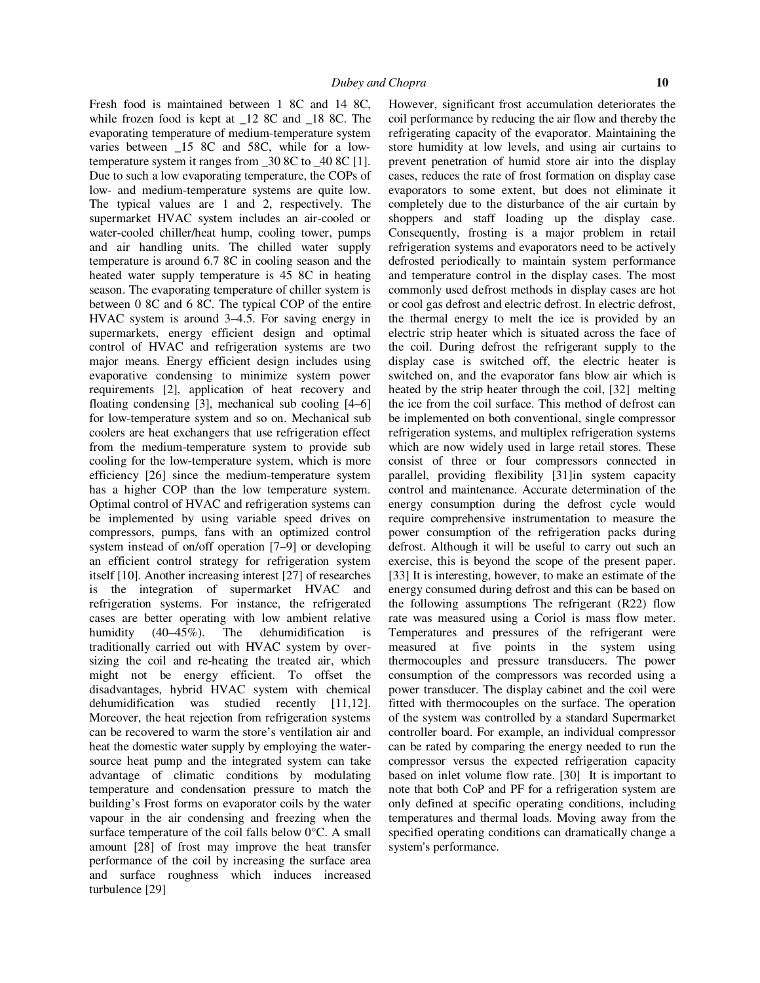Fresh food is maintained between 1 8C and 14 8C, while frozen food is kept at  $12$  8C and  $18$  8C. The evaporating temperature of medium-temperature system varies between \_15 8C and 58C, while for a lowtemperature system it ranges from \_30 8C to \_40 8C [1]. Due to such a low evaporating temperature, the COPs of low- and medium-temperature systems are quite low. The typical values are 1 and 2, respectively. The supermarket HVAC system includes an air-cooled or water-cooled chiller/heat hump, cooling tower, pumps and air handling units. The chilled water supply temperature is around 6.7 8C in cooling season and the heated water supply temperature is 45 8C in heating season. The evaporating temperature of chiller system is between 0 8C and 6 8C. The typical COP of the entire HVAC system is around 3–4.5. For saving energy in supermarkets, energy efficient design and optimal control of HVAC and refrigeration systems are two major means. Energy efficient design includes using evaporative condensing to minimize system power requirements [2], application of heat recovery and floating condensing [3], mechanical sub cooling [4–6] for low-temperature system and so on. Mechanical sub coolers are heat exchangers that use refrigeration effect from the medium-temperature system to provide sub cooling for the low-temperature system, which is more efficiency [26] since the medium-temperature system has a higher COP than the low temperature system. Optimal control of HVAC and refrigeration systems can be implemented by using variable speed drives on compressors, pumps, fans with an optimized control system instead of on/off operation [7–9] or developing an efficient control strategy for refrigeration system itself [10]. Another increasing interest [27] of researches is the integration of supermarket HVAC and refrigeration systems. For instance, the refrigerated cases are better operating with low ambient relative humidity (40–45%). The dehumidification is traditionally carried out with HVAC system by oversizing the coil and re-heating the treated air, which might not be energy efficient. To offset the disadvantages, hybrid HVAC system with chemical dehumidification was studied recently [11,12]. Moreover, the heat rejection from refrigeration systems can be recovered to warm the store's ventilation air and heat the domestic water supply by employing the watersource heat pump and the integrated system can take advantage of climatic conditions by modulating temperature and condensation pressure to match the building's Frost forms on evaporator coils by the water vapour in the air condensing and freezing when the surface temperature of the coil falls below 0°C. A small amount [28] of frost may improve the heat transfer performance of the coil by increasing the surface area and surface roughness which induces increased turbulence [29]

However, significant frost accumulation deteriorates the coil performance by reducing the air flow and thereby the refrigerating capacity of the evaporator. Maintaining the store humidity at low levels, and using air curtains to prevent penetration of humid store air into the display cases, reduces the rate of frost formation on display case evaporators to some extent, but does not eliminate it completely due to the disturbance of the air curtain by shoppers and staff loading up the display case. Consequently, frosting is a major problem in retail refrigeration systems and evaporators need to be actively defrosted periodically to maintain system performance and temperature control in the display cases. The most commonly used defrost methods in display cases are hot or cool gas defrost and electric defrost. In electric defrost, the thermal energy to melt the ice is provided by an electric strip heater which is situated across the face of the coil. During defrost the refrigerant supply to the display case is switched off, the electric heater is switched on, and the evaporator fans blow air which is heated by the strip heater through the coil, [32] melting the ice from the coil surface. This method of defrost can be implemented on both conventional, single compressor refrigeration systems, and multiplex refrigeration systems which are now widely used in large retail stores. These consist of three or four compressors connected in parallel, providing flexibility [31]in system capacity control and maintenance. Accurate determination of the energy consumption during the defrost cycle would require comprehensive instrumentation to measure the power consumption of the refrigeration packs during defrost. Although it will be useful to carry out such an exercise, this is beyond the scope of the present paper. [33] It is interesting, however, to make an estimate of the energy consumed during defrost and this can be based on the following assumptions The refrigerant (R22) flow rate was measured using a Coriol is mass flow meter. Temperatures and pressures of the refrigerant were measured at five points in the system using thermocouples and pressure transducers. The power consumption of the compressors was recorded using a power transducer. The display cabinet and the coil were fitted with thermocouples on the surface. The operation of the system was controlled by a standard Supermarket controller board. For example, an individual compressor can be rated by comparing the energy needed to run the compressor versus the expected refrigeration capacity based on inlet volume flow rate. [30] It is important to note that both CoP and PF for a refrigeration system are only defined at specific operating conditions, including temperatures and thermal loads. Moving away from the specified operating conditions can dramatically change a system's performance.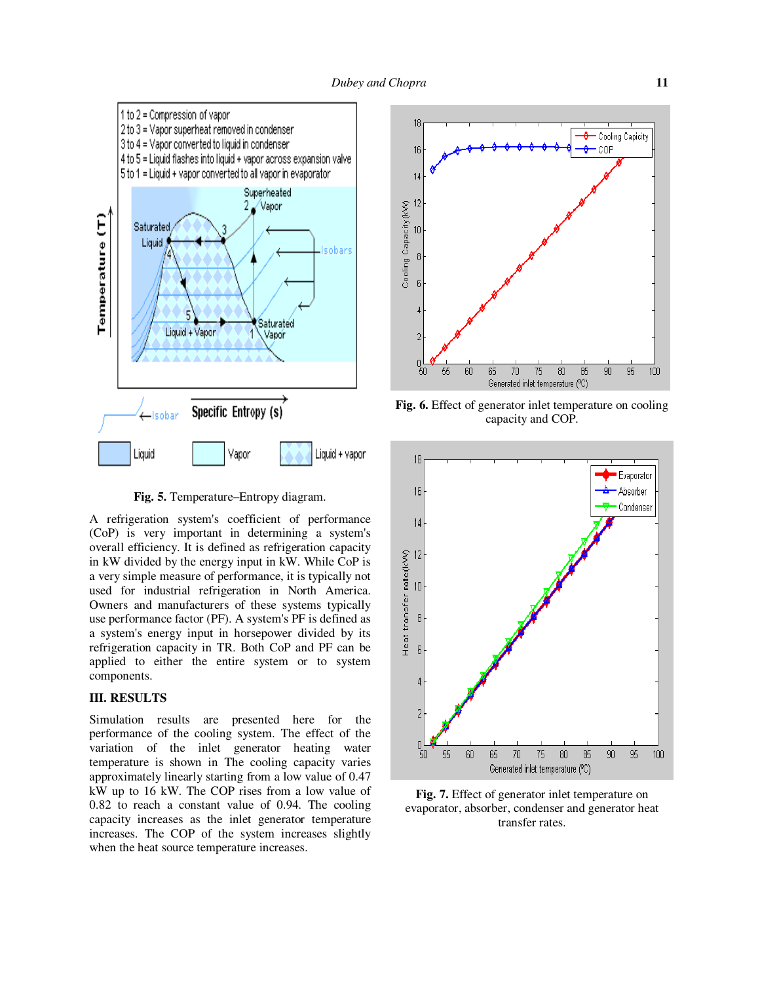

**Fig. 5.** Temperature–Entropy diagram.

A refrigeration system's coefficient of performance (CoP) is very important in determining a system's overall efficiency. It is defined as refrigeration capacity in kW divided by the energy input in kW. While CoP is a very simple measure of performance, it is typically not used for industrial refrigeration in North America. Owners and manufacturers of these systems typically use performance factor (PF). A system's PF is defined as a system's energy input in horsepower divided by its refrigeration capacity in TR. Both CoP and PF can be applied to either the entire system or to system components.

### **III. RESULTS**

Simulation results are presented here for the performance of the cooling system. The effect of the variation of the inlet generator heating water temperature is shown in The cooling capacity varies approximately linearly starting from a low value of 0.47 kW up to 16 kW. The COP rises from a low value of 0.82 to reach a constant value of 0.94. The cooling capacity increases as the inlet generator temperature increases. The COP of the system increases slightly when the heat source temperature increases.



**Fig. 6.** Effect of generator inlet temperature on cooling capacity and COP.



**Fig. 7.** Effect of generator inlet temperature on evaporator, absorber, condenser and generator heat transfer rates.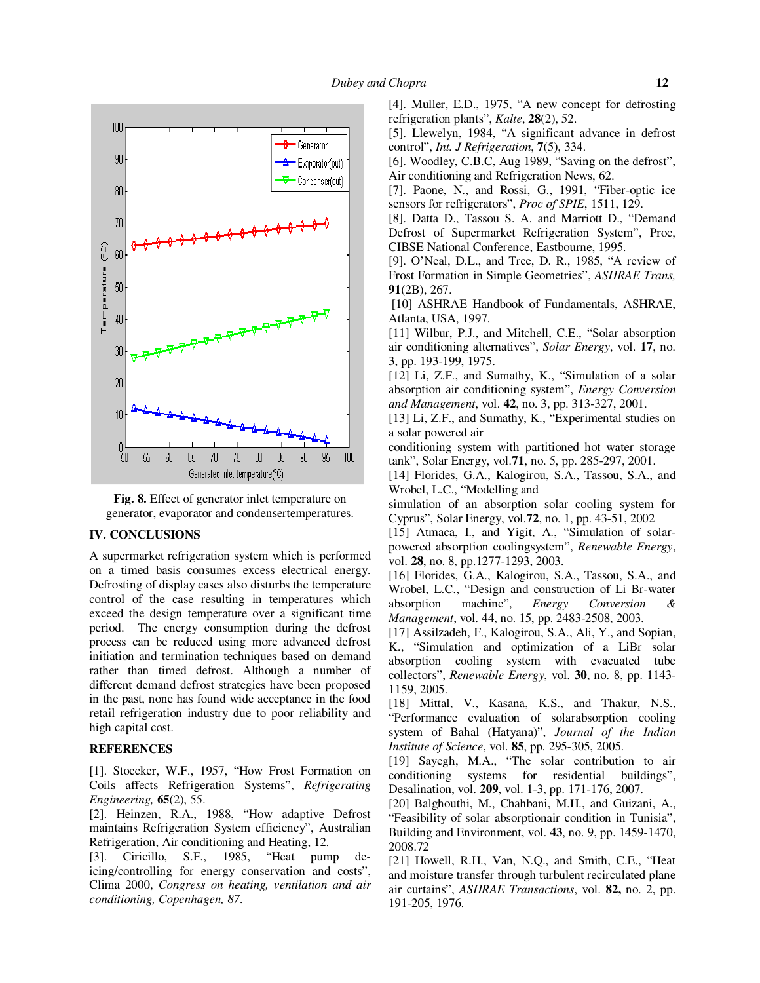

**Fig. 8.** Effect of generator inlet temperature on generator, evaporator and condensertemperatures.

#### **IV. CONCLUSIONS**

A supermarket refrigeration system which is performed on a timed basis consumes excess electrical energy. Defrosting of display cases also disturbs the temperature control of the case resulting in temperatures which exceed the design temperature over a significant time period. The energy consumption during the defrost process can be reduced using more advanced defrost initiation and termination techniques based on demand rather than timed defrost. Although a number of different demand defrost strategies have been proposed in the past, none has found wide acceptance in the food retail refrigeration industry due to poor reliability and high capital cost.

#### **REFERENCES**

[1]. Stoecker, W.F., 1957, "How Frost Formation on Coils affects Refrigeration Systems", *Refrigerating Engineering,* **65**(2), 55.

[2]. Heinzen, R.A., 1988, "How adaptive Defrost maintains Refrigeration System efficiency", Australian Refrigeration, Air conditioning and Heating, 12.

[3]. Ciricillo, S.F., 1985, "Heat pump deicing/controlling for energy conservation and costs", Clima 2000, *Congress on heating, ventilation and air conditioning, Copenhagen, 87*.

[4]. Muller, E.D., 1975, "A new concept for defrosting refrigeration plants", *Kalte*, **28**(2), 52.

[5]. Llewelyn, 1984, "A significant advance in defrost control", *Int. J Refrigeration*, **7**(5), 334.

[6]. Woodley, C.B.C, Aug 1989, "Saving on the defrost", Air conditioning and Refrigeration News, 62.

[7]. Paone, N., and Rossi, G., 1991, "Fiber-optic ice sensors for refrigerators", *Proc of SPIE*, 1511, 129.

[8]. Datta D., Tassou S. A. and Marriott D., "Demand Defrost of Supermarket Refrigeration System", Proc, CIBSE National Conference, Eastbourne, 1995.

[9]. O'Neal, D.L., and Tree, D. R., 1985, "A review of Frost Formation in Simple Geometries", *ASHRAE Trans,* **91**(2B), 267.

 [10] ASHRAE Handbook of Fundamentals, ASHRAE, Atlanta, USA, 1997.

[11] Wilbur, P.J., and Mitchell, C.E., "Solar absorption air conditioning alternatives", *Solar Energy*, vol. **17**, no. 3, pp. 193-199, 1975.

[12] Li, Z.F., and Sumathy, K., "Simulation of a solar absorption air conditioning system", *Energy Conversion and Management*, vol. **42**, no. 3, pp. 313-327, 2001.

[13] Li, Z.F., and Sumathy, K., "Experimental studies on a solar powered air

conditioning system with partitioned hot water storage tank", Solar Energy, vol.**71**, no. 5, pp. 285-297, 2001.

[14] Florides, G.A., Kalogirou, S.A., Tassou, S.A., and Wrobel, L.C., "Modelling and

simulation of an absorption solar cooling system for Cyprus", Solar Energy, vol.**72**, no. 1, pp. 43-51, 2002

[15] Atmaca, I., and Yigit, A., "Simulation of solarpowered absorption coolingsystem", *Renewable Energy*, vol. **28**, no. 8, pp.1277-1293, 2003.

[16] Florides, G.A., Kalogirou, S.A., Tassou, S.A., and Wrobel, L.C., "Design and construction of Li Br-water absorption machine", *Energy Conversion & Management*, vol. 44, no. 15, pp. 2483-2508, 2003.

[17] Assilzadeh, F., Kalogirou, S.A., Ali, Y., and Sopian, K., "Simulation and optimization of a LiBr solar absorption cooling system with evacuated tube collectors", *Renewable Energy*, vol. **30**, no. 8, pp. 1143- 1159, 2005.

[18] Mittal, V., Kasana, K.S., and Thakur, N.S., "Performance evaluation of solarabsorption cooling system of Bahal (Hatyana)", *Journal of the Indian Institute of Science*, vol. **85**, pp. 295-305, 2005.

[19] Sayegh, M.A., "The solar contribution to air conditioning systems for residential buildings", Desalination, vol. **209**, vol. 1-3, pp. 171-176, 2007.

[20] Balghouthi, M., Chahbani, M.H., and Guizani, A., "Feasibility of solar absorptionair condition in Tunisia", Building and Environment, vol. **43**, no. 9, pp. 1459-1470, 2008.72

[21] Howell, R.H., Van, N.Q., and Smith, C.E., "Heat and moisture transfer through turbulent recirculated plane air curtains", *ASHRAE Transactions*, vol. **82,** no. 2, pp. 191-205, 1976.